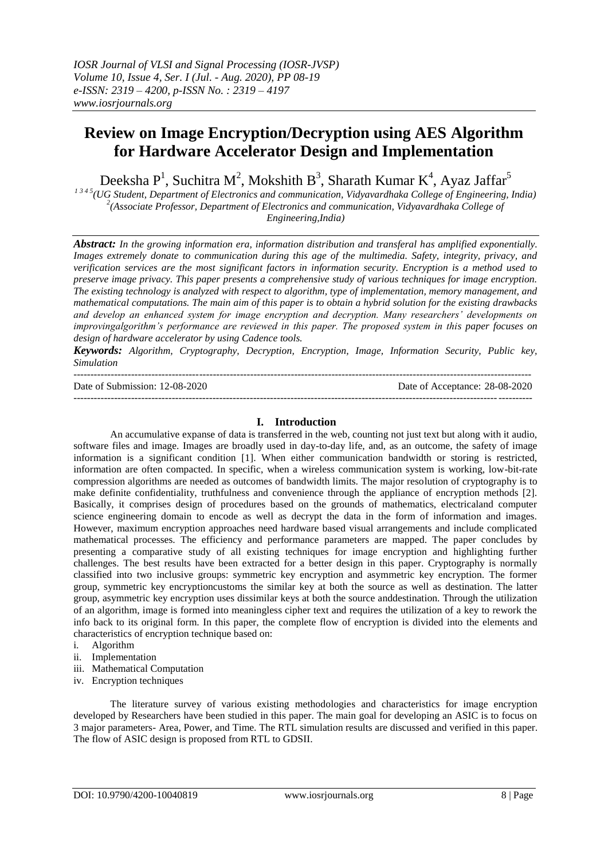# **Review on Image Encryption/Decryption using AES Algorithm for Hardware Accelerator Design and Implementation**

Deeksha P<sup>1</sup>, Suchitra M<sup>2</sup>, Mokshith B<sup>3</sup>, Sharath Kumar K<sup>4</sup>, Ayaz Jaffar<sup>5</sup>

*1 3 4 5(UG Student, Department of Electronics and communication, Vidyavardhaka College of Engineering, India)* <sup>2</sup>(Associate Professor, Department of Electronics and communication, Vidyavardhaka College of *Engineering,India)*

*Abstract: In the growing information era, information distribution and transferal has amplified exponentially. Images extremely donate to communication during this age of the multimedia. Safety, integrity, privacy, and verification services are the most significant factors in information security. Encryption is a method used to preserve image privacy. This paper presents a comprehensive study of various techniques for image encryption. The existing technology is analyzed with respect to algorithm, type of implementation, memory management, and mathematical computations. The main aim of this paper is to obtain a hybrid solution for the existing drawbacks and develop an enhanced system for image encryption and decryption. Many researchers' developments on improvingalgorithm's performance are reviewed in this paper. The proposed system in this paper focuses on design of hardware accelerator by using Cadence tools.*

*Keywords: Algorithm, Cryptography, Decryption, Encryption, Image, Information Security, Public key, Simulation*

--------------------------------------------------------------------------------------------------------------------------------------- Date of Submission: 12-08-2020

---------------------------------------------------------------------------------------------------------------------------------------

| Date of Acceptance: 28-08-2020 |  |
|--------------------------------|--|
|--------------------------------|--|

# **I. Introduction**

An accumulative expanse of data is transferred in the web, counting not just text but along with it audio, software files and image. Images are broadly used in day-to-day life, and, as an outcome, the safety of image information is a significant condition [1]. When either communication bandwidth or storing is restricted, information are often compacted. In specific, when a wireless communication system is working, low-bit-rate compression algorithms are needed as outcomes of bandwidth limits. The major resolution of cryptography is to make definite confidentiality, truthfulness and convenience through the appliance of encryption methods [2]. Basically, it comprises design of procedures based on the grounds of mathematics, electricaland computer science engineering domain to encode as well as decrypt the data in the form of information and images. However, maximum encryption approaches need hardware based visual arrangements and include complicated mathematical processes. The efficiency and performance parameters are mapped. The paper concludes by presenting a comparative study of all existing techniques for image encryption and highlighting further challenges. The best results have been extracted for a better design in this paper. Cryptography is normally classified into two inclusive groups: symmetric key encryption and asymmetric key encryption. The former group, symmetric key encryptioncustoms the similar key at both the source as well as destination. The latter group, asymmetric key encryption uses dissimilar keys at both the source anddestination. Through the utilization of an algorithm, image is formed into meaningless cipher text and requires the utilization of a key to rework the info back to its original form. In this paper, the complete flow of encryption is divided into the elements and characteristics of encryption technique based on:

- i. Algorithm
- ii. Implementation
- iii. Mathematical Computation
- iv. Encryption techniques

The literature survey of various existing methodologies and characteristics for image encryption developed by Researchers have been studied in this paper. The main goal for developing an ASIC is to focus on 3 major parameters- Area, Power, and Time. The RTL simulation results are discussed and verified in this paper. The flow of ASIC design is proposed from RTL to GDSII.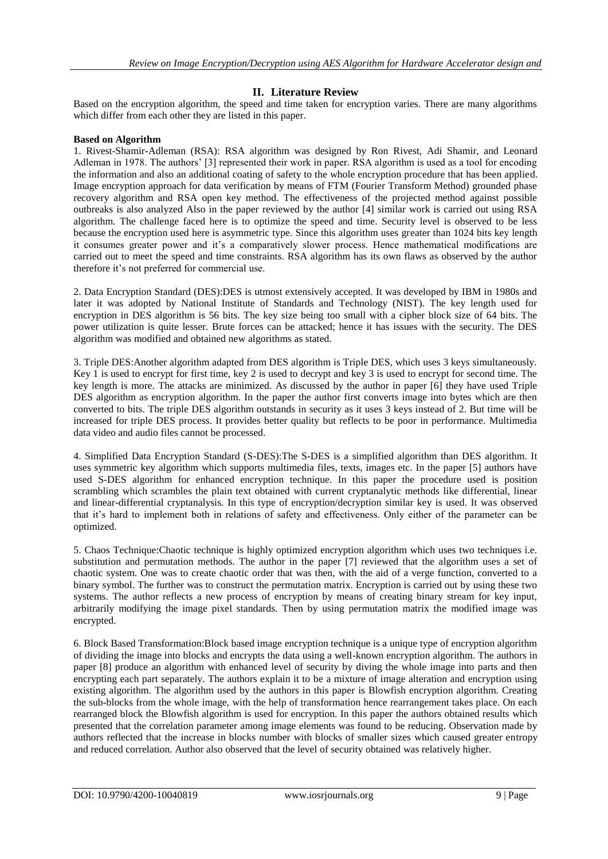# **II. Literature Review**

Based on the encryption algorithm, the speed and time taken for encryption varies. There are many algorithms which differ from each other they are listed in this paper.

#### **Based on Algorithm**

1. Rivest-Shamir-Adleman (RSA): RSA algorithm was designed by Ron Rivest, Adi Shamir, and Leonard Adleman in 1978. The authors' [3] represented their work in paper. RSA algorithm is used as a tool for encoding the information and also an additional coating of safety to the whole encryption procedure that has been applied. Image encryption approach for data verification by means of FTM (Fourier Transform Method) grounded phase recovery algorithm and RSA open key method. The effectiveness of the projected method against possible outbreaks is also analyzed Also in the paper reviewed by the author [4] similar work is carried out using RSA algorithm. The challenge faced here is to optimize the speed and time. Security level is observed to be less because the encryption used here is asymmetric type. Since this algorithm uses greater than 1024 bits key length it consumes greater power and it's a comparatively slower process. Hence mathematical modifications are carried out to meet the speed and time constraints. RSA algorithm has its own flaws as observed by the author therefore it's not preferred for commercial use.

2. Data Encryption Standard (DES):DES is utmost extensively accepted. It was developed by IBM in 1980s and later it was adopted by National Institute of Standards and Technology (NIST). The key length used for encryption in DES algorithm is 56 bits. The key size being too small with a cipher block size of 64 bits. The power utilization is quite lesser. Brute forces can be attacked; hence it has issues with the security. The DES algorithm was modified and obtained new algorithms as stated.

3. Triple DES:Another algorithm adapted from DES algorithm is Triple DES, which uses 3 keys simultaneously. Key 1 is used to encrypt for first time, key 2 is used to decrypt and key 3 is used to encrypt for second time. The key length is more. The attacks are minimized. As discussed by the author in paper [6] they have used Triple DES algorithm as encryption algorithm. In the paper the author first converts image into bytes which are then converted to bits. The triple DES algorithm outstands in security as it uses 3 keys instead of 2. But time will be increased for triple DES process. It provides better quality but reflects to be poor in performance. Multimedia data video and audio files cannot be processed.

4. Simplified Data Encryption Standard (S-DES):The S-DES is a simplified algorithm than DES algorithm. It uses symmetric key algorithm which supports multimedia files, texts, images etc. In the paper [5] authors have used S-DES algorithm for enhanced encryption technique. In this paper the procedure used is position scrambling which scrambles the plain text obtained with current cryptanalytic methods like differential, linear and linear-differential cryptanalysis. In this type of encryption/decryption similar key is used. It was observed that it's hard to implement both in relations of safety and effectiveness. Only either of the parameter can be optimized.

5. Chaos Technique:Chaotic technique is highly optimized encryption algorithm which uses two techniques i.e. substitution and permutation methods. The author in the paper [7] reviewed that the algorithm uses a set of chaotic system. One was to create chaotic order that was then, with the aid of a verge function, converted to a binary symbol. The further was to construct the permutation matrix. Encryption is carried out by using these two systems. The author reflects a new process of encryption by means of creating binary stream for key input, arbitrarily modifying the image pixel standards. Then by using permutation matrix the modified image was encrypted.

6. Block Based Transformation:Block based image encryption technique is a unique type of encryption algorithm of dividing the image into blocks and encrypts the data using a well-known encryption algorithm. The authors in paper [8] produce an algorithm with enhanced level of security by diving the whole image into parts and then encrypting each part separately. The authors explain it to be a mixture of image alteration and encryption using existing algorithm. The algorithm used by the authors in this paper is Blowfish encryption algorithm. Creating the sub-blocks from the whole image, with the help of transformation hence rearrangement takes place. On each rearranged block the Blowfish algorithm is used for encryption. In this paper the authors obtained results which presented that the correlation parameter among image elements was found to be reducing. Observation made by authors reflected that the increase in blocks number with blocks of smaller sizes which caused greater entropy and reduced correlation. Author also observed that the level of security obtained was relatively higher.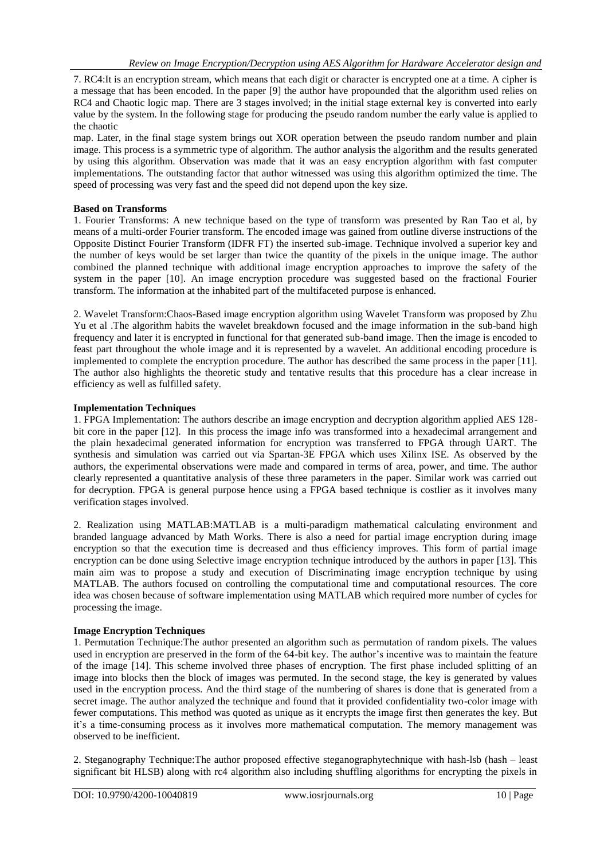*Implementation* 7. RC4:It is an encryption stream, which means that each digit or character is encrypted one at a time. A cipher is a message that has been encoded. In the paper [9] the author have propounded that the algorithm used relies on RC4 and Chaotic logic map. There are 3 stages involved; in the initial stage external key is converted into early value by the system. In the following stage for producing the pseudo random number the early value is applied to the chaotic

map. Later, in the final stage system brings out XOR operation between the pseudo random number and plain image. This process is a symmetric type of algorithm. The author analysis the algorithm and the results generated by using this algorithm. Observation was made that it was an easy encryption algorithm with fast computer implementations. The outstanding factor that author witnessed was using this algorithm optimized the time. The speed of processing was very fast and the speed did not depend upon the key size.

## **Based on Transforms**

1. Fourier Transforms: A new technique based on the type of transform was presented by Ran Tao et al, by means of a multi-order Fourier transform. The encoded image was gained from outline diverse instructions of the Opposite Distinct Fourier Transform (IDFR FT) the inserted sub-image. Technique involved a superior key and the number of keys would be set larger than twice the quantity of the pixels in the unique image. The author combined the planned technique with additional image encryption approaches to improve the safety of the system in the paper [10]. An image encryption procedure was suggested based on the fractional Fourier transform. The information at the inhabited part of the multifaceted purpose is enhanced.

2. Wavelet Transform:Chaos-Based image encryption algorithm using Wavelet Transform was proposed by Zhu Yu et al .The algorithm habits the wavelet breakdown focused and the image information in the sub-band high frequency and later it is encrypted in functional for that generated sub-band image. Then the image is encoded to feast part throughout the whole image and it is represented by a wavelet. An additional encoding procedure is implemented to complete the encryption procedure. The author has described the same process in the paper [11]. The author also highlights the theoretic study and tentative results that this procedure has a clear increase in efficiency as well as fulfilled safety.

#### **Implementation Techniques**

1. FPGA Implementation: The authors describe an image encryption and decryption algorithm applied AES 128 bit core in the paper [12]. In this process the image info was transformed into a hexadecimal arrangement and the plain hexadecimal generated information for encryption was transferred to FPGA through UART. The synthesis and simulation was carried out via Spartan-3E FPGA which uses Xilinx ISE. As observed by the authors, the experimental observations were made and compared in terms of area, power, and time. The author clearly represented a quantitative analysis of these three parameters in the paper. Similar work was carried out for decryption. FPGA is general purpose hence using a FPGA based technique is costlier as it involves many verification stages involved.

2. Realization using MATLAB:MATLAB is a multi-paradigm mathematical calculating environment and branded language advanced by Math Works. There is also a need for partial image encryption during image encryption so that the execution time is decreased and thus efficiency improves. This form of partial image encryption can be done using Selective image encryption technique introduced by the authors in paper [13]. This main aim was to propose a study and execution of Discriminating image encryption technique by using MATLAB. The authors focused on controlling the computational time and computational resources. The core idea was chosen because of software implementation using MATLAB which required more number of cycles for processing the image.

#### **Image Encryption Techniques**

1. Permutation Technique:The author presented an algorithm such as permutation of random pixels. The values used in encryption are preserved in the form of the 64-bit key. The author's incentive was to maintain the feature of the image [14]. This scheme involved three phases of encryption. The first phase included splitting of an image into blocks then the block of images was permuted. In the second stage, the key is generated by values used in the encryption process. And the third stage of the numbering of shares is done that is generated from a secret image. The author analyzed the technique and found that it provided confidentiality two-color image with fewer computations. This method was quoted as unique as it encrypts the image first then generates the key. But it's a time-consuming process as it involves more mathematical computation. The memory management was observed to be inefficient.

2. Steganography Technique:The author proposed effective steganographytechnique with hash-lsb (hash – least significant bit HLSB) along with rc4 algorithm also including shuffling algorithms for encrypting the pixels in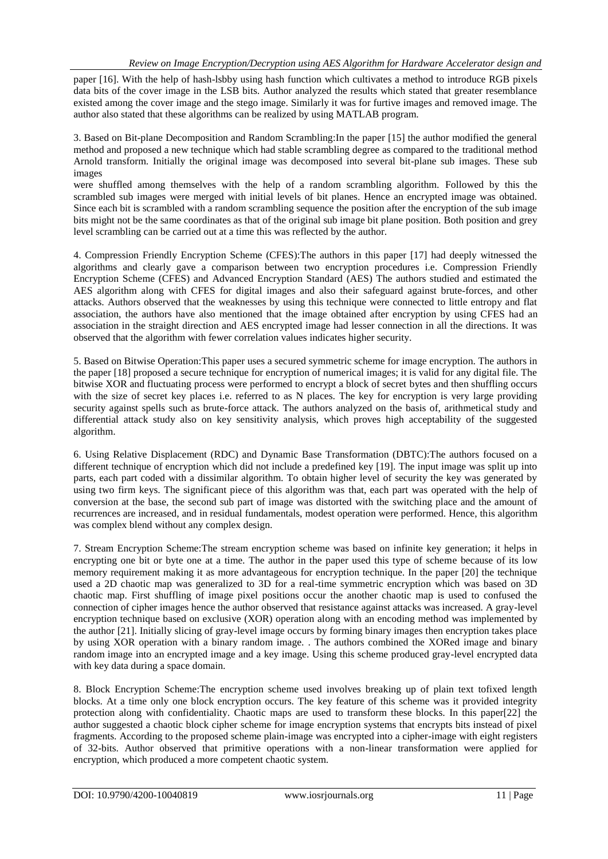paper [16]. With the help of hash-lsbby using hash function which cultivates a method to introduce RGB pixels data bits of the cover image in the LSB bits. Author analyzed the results which stated that greater resemblance existed among the cover image and the stego image. Similarly it was for furtive images and removed image. The author also stated that these algorithms can be realized by using MATLAB program.

3. Based on Bit-plane Decomposition and Random Scrambling:In the paper [15] the author modified the general method and proposed a new technique which had stable scrambling degree as compared to the traditional method Arnold transform. Initially the original image was decomposed into several bit-plane sub images. These sub images

were shuffled among themselves with the help of a random scrambling algorithm. Followed by this the scrambled sub images were merged with initial levels of bit planes. Hence an encrypted image was obtained. Since each bit is scrambled with a random scrambling sequence the position after the encryption of the sub image bits might not be the same coordinates as that of the original sub image bit plane position. Both position and grey level scrambling can be carried out at a time this was reflected by the author.

4. Compression Friendly Encryption Scheme (CFES):The authors in this paper [17] had deeply witnessed the algorithms and clearly gave a comparison between two encryption procedures i.e. Compression Friendly Encryption Scheme (CFES) and Advanced Encryption Standard (AES) The authors studied and estimated the AES algorithm along with CFES for digital images and also their safeguard against brute-forces, and other attacks. Authors observed that the weaknesses by using this technique were connected to little entropy and flat association, the authors have also mentioned that the image obtained after encryption by using CFES had an association in the straight direction and AES encrypted image had lesser connection in all the directions. It was observed that the algorithm with fewer correlation values indicates higher security.

5. Based on Bitwise Operation:This paper uses a secured symmetric scheme for image encryption. The authors in the paper [18] proposed a secure technique for encryption of numerical images; it is valid for any digital file. The bitwise XOR and fluctuating process were performed to encrypt a block of secret bytes and then shuffling occurs with the size of secret key places i.e. referred to as N places. The key for encryption is very large providing security against spells such as brute-force attack. The authors analyzed on the basis of, arithmetical study and differential attack study also on key sensitivity analysis, which proves high acceptability of the suggested algorithm.

6. Using Relative Displacement (RDC) and Dynamic Base Transformation (DBTC):The authors focused on a different technique of encryption which did not include a predefined key [19]. The input image was split up into parts, each part coded with a dissimilar algorithm. To obtain higher level of security the key was generated by using two firm keys. The significant piece of this algorithm was that, each part was operated with the help of conversion at the base, the second sub part of image was distorted with the switching place and the amount of recurrences are increased, and in residual fundamentals, modest operation were performed. Hence, this algorithm was complex blend without any complex design.

7. Stream Encryption Scheme:The stream encryption scheme was based on infinite key generation; it helps in encrypting one bit or byte one at a time. The author in the paper used this type of scheme because of its low memory requirement making it as more advantageous for encryption technique. In the paper [20] the technique used a 2D chaotic map was generalized to 3D for a real-time symmetric encryption which was based on 3D chaotic map. First shuffling of image pixel positions occur the another chaotic map is used to confused the connection of cipher images hence the author observed that resistance against attacks was increased. A gray-level encryption technique based on exclusive (XOR) operation along with an encoding method was implemented by the author [21]. Initially slicing of gray-level image occurs by forming binary images then encryption takes place by using XOR operation with a binary random image. . The authors combined the XORed image and binary random image into an encrypted image and a key image. Using this scheme produced gray-level encrypted data with key data during a space domain.

8. Block Encryption Scheme:The encryption scheme used involves breaking up of plain text tofixed length blocks. At a time only one block encryption occurs. The key feature of this scheme was it provided integrity protection along with confidentiality. Chaotic maps are used to transform these blocks. In this paper[22] the author suggested a chaotic block cipher scheme for image encryption systems that encrypts bits instead of pixel fragments. According to the proposed scheme plain-image was encrypted into a cipher-image with eight registers of 32-bits. Author observed that primitive operations with a non-linear transformation were applied for encryption, which produced a more competent chaotic system.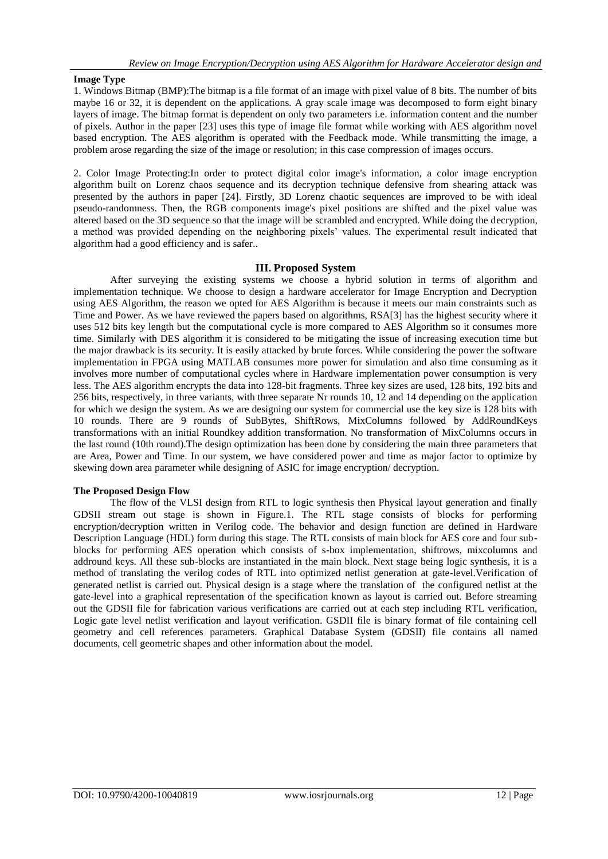#### **Image Type**

1. Windows Bitmap (BMP):The bitmap is a file format of an image with pixel value of 8 bits. The number of bits maybe 16 or 32, it is dependent on the applications. A gray scale image was decomposed to form eight binary layers of image. The bitmap format is dependent on only two parameters i.e. information content and the number of pixels. Author in the paper [23] uses this type of image file format while working with AES algorithm novel based encryption. The AES algorithm is operated with the Feedback mode. While transmitting the image, a problem arose regarding the size of the image or resolution; in this case compression of images occurs.

2. Color Image Protecting:In order to protect digital color image's information, a color image encryption algorithm built on Lorenz chaos sequence and its decryption technique defensive from shearing attack was presented by the authors in paper [24]. Firstly, 3D Lorenz chaotic sequences are improved to be with ideal pseudo-randomness. Then, the RGB components image's pixel positions are shifted and the pixel value was altered based on the 3D sequence so that the image will be scrambled and encrypted. While doing the decryption, a method was provided depending on the neighboring pixels' values. The experimental result indicated that algorithm had a good efficiency and is safer..

#### **III. Proposed System**

After surveying the existing systems we choose a hybrid solution in terms of algorithm and implementation technique. We choose to design a hardware accelerator for Image Encryption and Decryption using AES Algorithm, the reason we opted for AES Algorithm is because it meets our main constraints such as Time and Power. As we have reviewed the papers based on algorithms, RSA[3] has the highest security where it uses 512 bits key length but the computational cycle is more compared to AES Algorithm so it consumes more time. Similarly with DES algorithm it is considered to be mitigating the issue of increasing execution time but the major drawback is its security. It is easily attacked by brute forces. While considering the power the software implementation in FPGA using MATLAB consumes more power for simulation and also time consuming as it involves more number of computational cycles where in Hardware implementation power consumption is very less. The AES algorithm encrypts the data into 128-bit fragments. Three key sizes are used, 128 bits, 192 bits and 256 bits, respectively, in three variants, with three separate Nr rounds 10, 12 and 14 depending on the application for which we design the system. As we are designing our system for commercial use the key size is 128 bits with 10 rounds. There are 9 rounds of SubBytes, ShiftRows, MixColumns followed by AddRoundKeys transformations with an initial Roundkey addition transformation. No transformation of MixColumns occurs in the last round (10th round).The design optimization has been done by considering the main three parameters that are Area, Power and Time. In our system, we have considered power and time as major factor to optimize by skewing down area parameter while designing of ASIC for image encryption/ decryption.

#### **The Proposed Design Flow**

The flow of the VLSI design from RTL to logic synthesis then Physical layout generation and finally GDSII stream out stage is shown in Figure.1. The RTL stage consists of blocks for performing encryption/decryption written in Verilog code. The behavior and design function are defined in Hardware Description Language (HDL) form during this stage. The RTL consists of main block for AES core and four subblocks for performing AES operation which consists of s-box implementation, shiftrows, mixcolumns and addround keys. All these sub-blocks are instantiated in the main block. Next stage being logic synthesis, it is a method of translating the verilog codes of RTL into optimized netlist generation at gate-level.Verification of generated netlist is carried out. Physical design is a stage where the translation of the configured netlist at the gate-level into a graphical representation of the specification known as layout is carried out. Before streaming out the GDSII file for fabrication various verifications are carried out at each step including RTL verification, Logic gate level netlist verification and layout verification. GSDII file is binary format of file containing cell geometry and cell references parameters. Graphical Database System (GDSII) file contains all named documents, cell geometric shapes and other information about the model.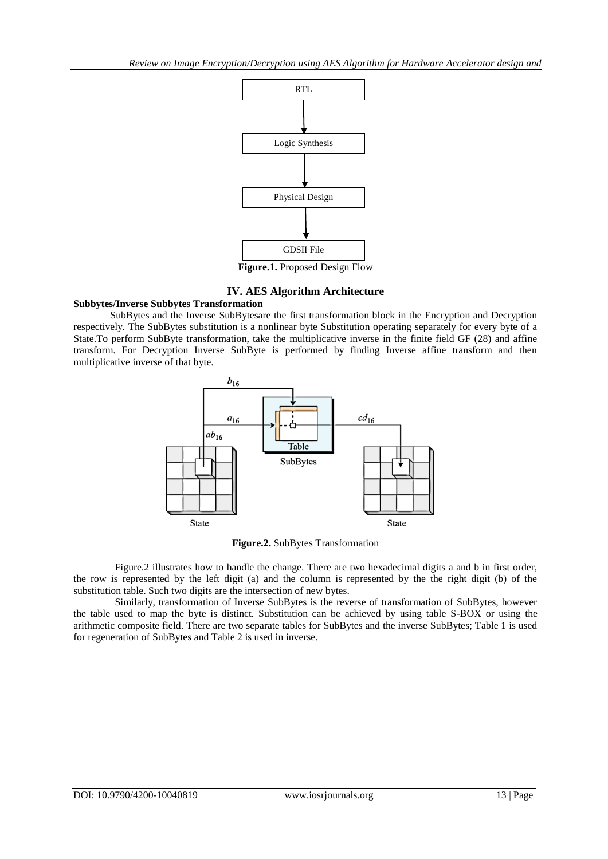

**IV. AES Algorithm Architecture**

# **Subbytes/Inverse Subbytes Transformation**

SubBytes and the Inverse SubBytesare the first transformation block in the Encryption and Decryption respectively. The SubBytes substitution is a nonlinear byte Substitution operating separately for every byte of a State.To perform SubByte transformation, take the multiplicative inverse in the finite field GF (28) and affine transform. For Decryption Inverse SubByte is performed by finding Inverse affine transform and then multiplicative inverse of that byte.



**Figure.2.** SubBytes Transformation

Figure.2 illustrates how to handle the change. There are two hexadecimal digits a and b in first order, the row is represented by the left digit (a) and the column is represented by the the right digit (b) of the substitution table. Such two digits are the intersection of new bytes.

Similarly, transformation of Inverse SubBytes is the reverse of transformation of SubBytes, however the table used to map the byte is distinct. Substitution can be achieved by using table S-BOX or using the arithmetic composite field. There are two separate tables for SubBytes and the inverse SubBytes; Table 1 is used for regeneration of SubBytes and Table 2 is used in inverse.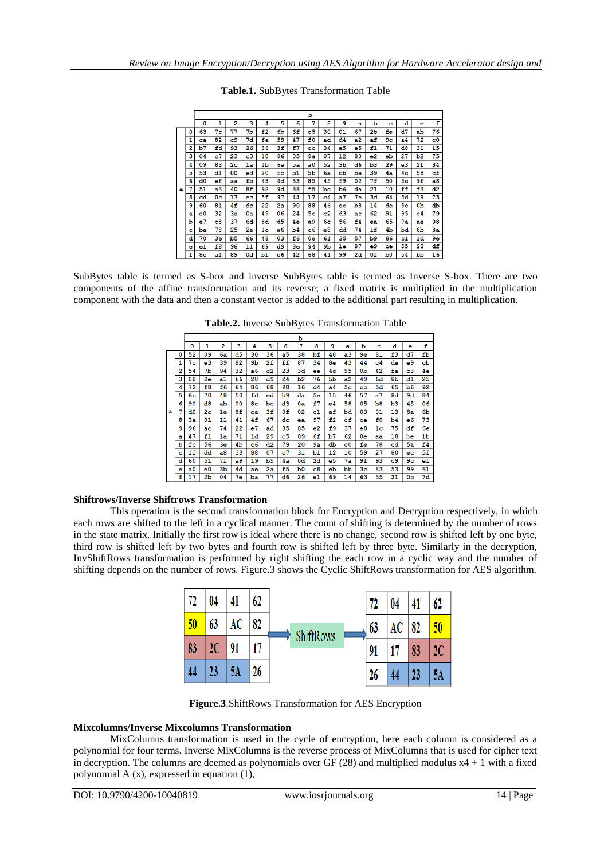|   |   |                |                |                |    |                |    |    | b              |                |                |                |    |                |                |                |             |
|---|---|----------------|----------------|----------------|----|----------------|----|----|----------------|----------------|----------------|----------------|----|----------------|----------------|----------------|-------------|
|   |   | 0              | 1              | $\overline{2}$ | 3  | 4              | 5  | 6  | 7              | 8              | 9              | a              | ь  | c              | d              | e              | f           |
|   | 0 | 63             | 7с             | 77             | 7b | f2             | 6b | 6f | c5             | 30             | 01             | 67             | 2b | fe             | d7             | ab             | 76          |
|   | 1 | ca             | 82             | c9             | 7d | fa             | 59 | 47 | £0             | ad             | d4             | a2             | af | 9 <sub>c</sub> | a4             | 72             | $_{c0}$     |
|   | 2 | b7             | fd             | 93             | 26 | 36             | 3f | £7 | $_{cc}$        | 34             | a <sub>5</sub> | e <sub>5</sub> | f1 | 71             | d8             | 31             | 15          |
|   | з | 04             | c7             | 23             | c3 | 18             | 96 | 05 | 9a             | 07             | 12             | 80             | e2 | eb             | 27             | b <sub>2</sub> | 75          |
|   | 4 | 09             | 83             | 2 <sub>c</sub> | 1a | 1 <sub>b</sub> | 6e | 5a | a <sub>0</sub> | 52             | 3b             | d6             | b3 | 29             | e3             | 2f             | 84          |
|   | 5 | 53             | d1             | 00             | ed | 20             | fc | b1 | 5 <sub>b</sub> | 6a             | cb             | be             | 39 | 4a             | 4 <sub>c</sub> | 58             | $_{\rm cf}$ |
|   | 6 | d0             | $_{\rm ef}$    | aa             | fЬ | 43             | 4d | 33 | 85             | 45             | £9             | 02             | 7f | 50             | 3 <sub>c</sub> | 9f             | a8          |
| a | 7 | 51             | a3             | 40             | 8£ | 92             | 9d | 38 | £5             | bc             | b <sub>6</sub> | da             | 21 | 10             | ff             | f3             | d2          |
|   | 8 | cd             | 0 <sub>c</sub> | 13             | ec | 5£             | 97 | 44 | 17             | $_{c4}$        | a7             | 7е             | 3d | 64             | 5d             | 19             | 73          |
|   | 9 | 60             | 81             | 4f             | dc | 22             | 2a | 90 | 88             | 46             | ee             | b <sub>8</sub> | 14 | de             | 5e             | 0 <sub>b</sub> | db          |
|   | a | e0             | 32             | Зa             | 0a | 49             | 06 | 24 | 5с             | $_{c2}$        | d3             | ac             | 62 | 91             | 95             | е4             | 79          |
|   | b | e7             | $_{\rm c8}$    | 37             | 6d | 8d             | d5 | 4e | a9             | 6c             | 56             | £4             | ea | 65             | 7a             | ae             | 08          |
|   | c | ba             | 78             | 25             | 2e | 1 <sub>c</sub> | a6 | b4 | $\overline{c}$ | e8             | dd             | 74             | 1f | 4b             | bd             | 8 <sub>b</sub> | 8a          |
|   | d | 70             | 3e             | b5             | 66 | 48             | 03 | £6 | 0e             | 61             | 35             | 57             | b9 | 86             | $_{c1}$        | 1d             | 9е          |
|   | ė | e1             | £8             | 98             | 11 | 69             | d9 | 8e | 94             | 9 <sub>b</sub> | 1e             | 87             | e9 | ce             | 55             | 28             | df          |
|   | f | 8 <sub>c</sub> | a1             | 89             | 0d | bf             | e6 | 42 | 68             | 41             | 99             | 2d             | 0f | Ъ0             | 54             | pp             | 16          |

**Table.1.** SubBytes Transformation Table

SubBytes table is termed as S-box and inverse SubBytes table is termed as Inverse S-box. There are two components of the affine transformation and its reverse; a fixed matrix is multiplied in the multiplication component with the data and then a constant vector is added to the additional part resulting in multiplication.

**Table.2.** Inverse SubBytes Transformation Table

|   |   | ь  |                |                |    |                |    |    |                |             |    |                |                  |           |                |         |    |
|---|---|----|----------------|----------------|----|----------------|----|----|----------------|-------------|----|----------------|------------------|-----------|----------------|---------|----|
|   |   | ٥  | 1              | 2              | 3  | 4              | 5  | 6  | 7              | 8           | 9  | a              | ь                | c         | d              | e       | f  |
|   | 0 | 52 | 09             | 6a             | d5 | 30             | 36 | a5 | 38             | bf          | 40 | a <sub>3</sub> | 9е               | 81        | £3             | d7      | fb |
|   | 1 | 7с | e3             | 39             | 82 | 9b             | 2f | ff | 87             | 34          | 8e | 43             | 44               | c4        | de             | e9      | cb |
|   | 2 | 54 | 7b             | 94             | 32 | a6             | c2 | 23 | 3d             | ee          | 4с | 95             | 0 <sub>b</sub>   | 42        | fа             | $_{c3}$ | 4e |
|   | 3 | 08 | 2e             | a1             | 66 | 28             | d9 | 24 | b <sub>2</sub> | 76          | 5b | a2             | 49               | 6d        | 8 <sub>b</sub> | d1      | 25 |
|   | 4 | 72 | f8             | £6             | 64 | 86             | 68 | 98 | 16             | d4          | a4 | 5с             | $_{cc}$          | <b>5d</b> | 65             | b6      | 92 |
|   | 5 | 6с | 70             | 48             | 50 | fd             | ed | b9 | da             | 5e          | 15 | 46             | 57               | a7        | 8d             | 9d      | 84 |
|   | 6 | 90 | $_{\rm d8}$    | ab             | 00 | 8 <sub>c</sub> | bc | d3 | 0a             | £7          | e4 | 58             | 05               | b8        | b3             | 45      | 06 |
| a | 7 | d0 | 2 <sub>c</sub> | 1e             | 8f | ca             | 3f | 0f | 02             | c1          | af | bd             | 03               | 01        | 13             | 8a      | 6b |
|   | 8 | Зa | 91             | 11             | 41 | 4f             | 67 | dc | ea             | 97          | £2 | cf             | ce               | £0        | b4             | e6      | 73 |
|   | 9 | 96 | ac             | 74             | 22 | e7             | ad | 35 | 85             | $_{\rm e2}$ | £9 | 37             | $_{\mathbf{e}8}$ | 1c        | 75             | df      | 6e |
|   | a | 47 | f1             | 1a             | 71 | 1d             | 29 | c5 | 89             | 6f          | b7 | 62             | 0e               | aa        | 18             | be      | 1b |
|   | ь | fс | 56             | 3e             | 4b | c6             | d2 | 79 | 20             | 9a          | db | c0             | fe               | 78        | cd             | 5а      | f4 |
|   | c | 1f | dd             | a8             | 33 | 88             | 07 | c7 | 31             | b1          | 12 | 10             | 59               | 27        | 80             | ec      | 5f |
|   | d | 60 | 51             | 7f             | a9 | 19             | b5 | 4a | 0d             | 2d          | e5 | 7а             | 9£               | 93        | $_{c9}$        | 9с      | еf |
|   | e | a0 | e0             | 3 <sub>b</sub> | 4d | ae             | 2a | £5 | b0             | $_{\rm c8}$ | eb | bb             | Зc               | 83        | 53             | 99      | 61 |
|   | f | 17 | 2b             | 04             | 7е | ba             | 77 | d6 | 26             | e1          | 69 | 14             | 63               | 55        | 21             | 0с      | 7d |

## **Shiftrows/Inverse Shiftrows Transformation**

This operation is the second transformation block for Encryption and Decryption respectively, in which each rows are shifted to the left in a cyclical manner. The count of shifting is determined by the number of rows in the state matrix. Initially the first row is ideal where there is no change, second row is shifted left by one byte, third row is shifted left by two bytes and fourth row is shifted left by three byte. Similarly in the decryption, InvShiftRows transformation is performed by right shifting the each row in a cyclic way and the number of shifting depends on the number of rows. Figure.3 shows the Cyclic ShiftRows transformation for AES algorithm.

| 72 | 04 | 41 | 62 |                  |    | 72 | 04 | 41 | 62 |
|----|----|----|----|------------------|----|----|----|----|----|
| 50 | 63 | AC | 82 | <b>ShiftRows</b> | 63 | AC | 82 | 50 |    |
| 83 | 2C | 91 | 17 |                  | 91 |    | 83 | 2C |    |
| 44 | 23 | ЭA | 26 |                  |    | 26 | 44 | 23 | 5Α |

**Figure.3**.ShiftRows Transformation for AES Encryption

# **Mixcolumns/Inverse Mixcolumns Transformation**

MixColumns transformation is used in the cycle of encryption, here each column is considered as a polynomial for four terms. Inverse MixColumns is the reverse process of MixColumns that is used for cipher text in decryption. The columns are deemed as polynomials over  $GF(28)$  and multiplied modulus  $x4 + 1$  with a fixed polynomial A (x), expressed in equation (1),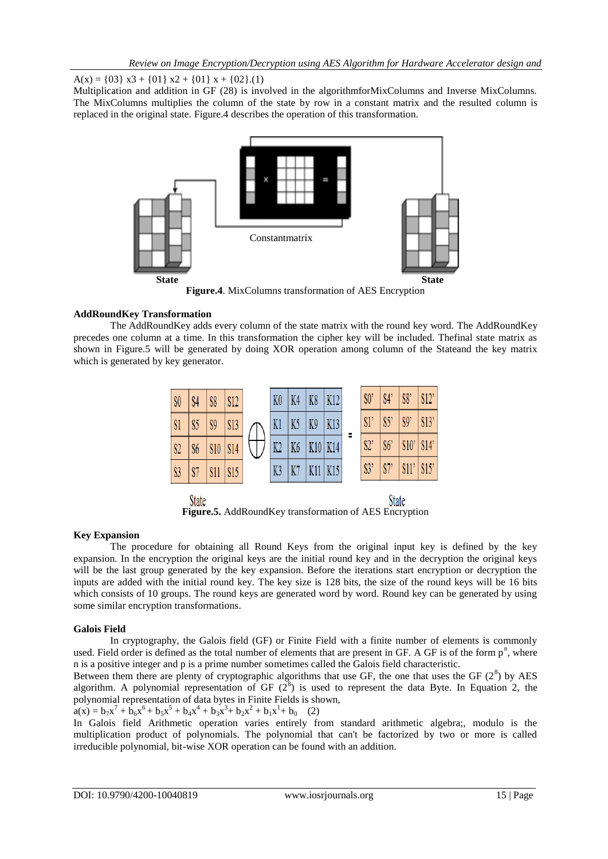A(x) = {03} x3 + {01} x2 + {01} x + {02}.(1)

Multiplication and addition in GF (28) is involved in the algorithmforMixColumns and Inverse MixColumns. The MixColumns multiplies the column of the state by row in a constant matrix and the resulted column is replaced in the original state. Figure.4 describes the operation of this transformation.



**Figure.4**. MixColumns transformation of AES Encryption

# **AddRoundKey Transformation**

The AddRoundKey adds every column of the state matrix with the round key word. The AddRoundKey precedes one column at a time. In this transformation the cipher key will be included. Thefinal state matrix as shown in Figure.5 will be generated by doing XOR operation among column of the Stateand the key matrix which is generated by key generator.



**Figure.5.** AddRoundKey transformation of AES Encryption

# **Key Expansion**

The procedure for obtaining all Round Keys from the original input key is defined by the key expansion. In the encryption the original keys are the initial round key and in the decryption the original keys will be the last group generated by the key expansion. Before the iterations start encryption or decryption the inputs are added with the initial round key. The key size is 128 bits, the size of the round keys will be 16 bits which consists of 10 groups. The round keys are generated word by word. Round key can be generated by using some similar encryption transformations.

# **Galois Field**

In cryptography, the Galois field (GF) or Finite Field with a finite number of elements is commonly used. Field order is defined as the total number of elements that are present in GF. A GF is of the form  $p<sup>n</sup>$ , where n is a positive integer and p is a prime number sometimes called the Galois field characteristic.

Between them there are plenty of cryptographic algorithms that use GF, the one that uses the GF  $(2^8)$  by AES algorithm. A polynomial representation of GF  $(2^8)$  is used to represent the data Byte. In Equation 2, the polynomial representation of data bytes in Finite Fields is shown,

 $a(x) = b_7x^7 + b_6x^6 + b_5x^5 + b_4x^4 + b_3x^3 + b_2x^2 + b_1x^1 + b_0$  (2)

In Galois field Arithmetic operation varies entirely from standard arithmetic algebra;, modulo is the multiplication product of polynomials. The polynomial that can't be factorized by two or more is called irreducible polynomial, bit-wise XOR operation can be found with an addition.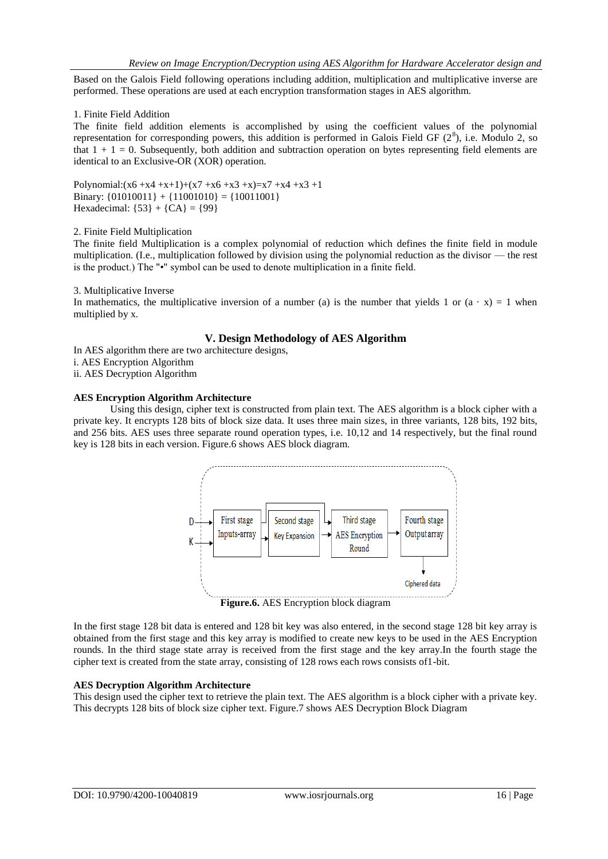*Implementation* Based on the Galois Field following operations including addition, multiplication and multiplicative inverse are performed. These operations are used at each encryption transformation stages in AES algorithm.

## 1. Finite Field Addition

The finite field addition elements is accomplished by using the coefficient values of the polynomial representation for corresponding powers, this addition is performed in Galois Field GF  $(2^8)$ , i.e. Modulo 2, so that  $1 + 1 = 0$ . Subsequently, both addition and subtraction operation on bytes representing field elements are identical to an Exclusive-OR (XOR) operation.

Polynomial: $(x6 +x4 +x+1)+(x7 +x6 +x3 +x)=x7 +x4 +x3 +1$ Binary:  ${01010011}$  +  ${11001010}$  =  ${10011001}$ Hexadecimal:  ${53} + {CA} = {99}$ 

#### 2. Finite Field Multiplication

The finite field Multiplication is a complex polynomial of reduction which defines the finite field in module multiplication. (I.e., multiplication followed by division using the polynomial reduction as the divisor — the rest is the product.) The "•" symbol can be used to denote multiplication in a finite field.

## 3. Multiplicative Inverse

In mathematics, the multiplicative inversion of a number (a) is the number that yields 1 or  $(a \cdot x) = 1$  when multiplied by x.

## **V. Design Methodology of AES Algorithm**

In AES algorithm there are two architecture designs,

i. AES Encryption Algorithm

ii. AES Decryption Algorithm

## **AES Encryption Algorithm Architecture**

Using this design, cipher text is constructed from plain text. The AES algorithm is a block cipher with a private key. It encrypts 128 bits of block size data. It uses three main sizes, in three variants, 128 bits, 192 bits, and 256 bits. AES uses three separate round operation types, i.e. 10,12 and 14 respectively, but the final round key is 128 bits in each version. Figure.6 shows AES block diagram.



**Figure.6.** AES Encryption block diagram

In the first stage 128 bit data is entered and 128 bit key was also entered, in the second stage 128 bit key array is obtained from the first stage and this key array is modified to create new keys to be used in the AES Encryption rounds. In the third stage state array is received from the first stage and the key array.In the fourth stage the cipher text is created from the state array, consisting of 128 rows each rows consists of1-bit.

# **AES Decryption Algorithm Architecture**

This design used the cipher text to retrieve the plain text. The AES algorithm is a block cipher with a private key. This decrypts 128 bits of block size cipher text. Figure.7 shows AES Decryption Block Diagram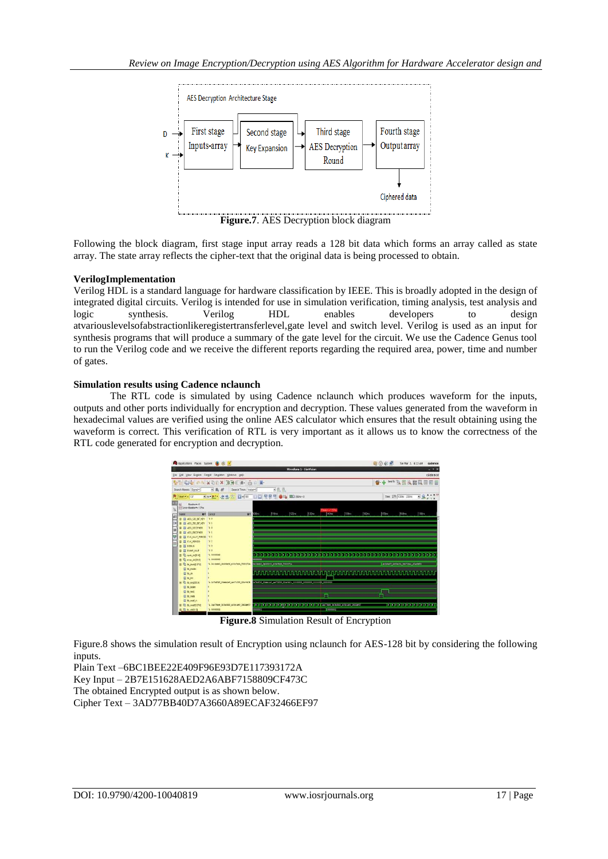

**Figure.7**. AES Decryption block diagram

Following the block diagram, first stage input array reads a 128 bit data which forms an array called as state array. The state array reflects the cipher-text that the original data is being processed to obtain.

# **VerilogImplementation**

Verilog HDL is a standard language for hardware classification by IEEE. This is broadly adopted in the design of integrated digital circuits. Verilog is intended for use in simulation verification, timing analysis, test analysis and logic synthesis. Verilog HDL enables developers to design atvariouslevelsofabstractionlikeregistertransferlevel,gate level and switch level. Verilog is used as an input for synthesis programs that will produce a summary of the gate level for the circuit. We use the Cadence Genus tool to run the Verilog code and we receive the different reports regarding the required area, power, time and number of gates.

## **Simulation results using Cadence nclaunch**

The RTL code is simulated by using Cadence nclaunch which produces waveform for the inputs, outputs and other ports individually for encryption and decryption. These values generated from the waveform in hexadecimal values are verified using the online AES calculator which ensures that the result obtaining using the waveform is correct. This verification of RTL is very important as it allows us to know the correctness of the RTL code generated for encryption and decryption.



**Figure.8** Simulation Result of Encryption

Figure.8 shows the simulation result of Encryption using nclaunch for AES-128 bit by considering the following inputs.

Plain Text –6BC1BEE22E409F96E93D7E117393172A Key Input – 2B7E151628AED2A6ABF7158809CF473C The obtained Encrypted output is as shown below. Cipher Text – 3AD77BB40D7A3660A89ECAF32466EF97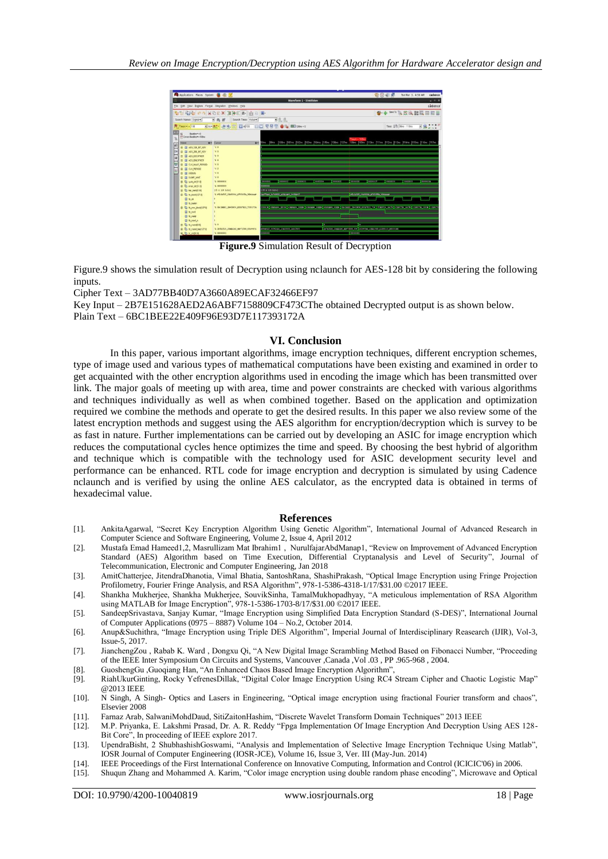

**Figure.9** Simulation Result of Decryption

Figure.9 shows the simulation result of Decryption using nclaunch for AES-128 bit by considering the following inputs.

Cipher Text – 3AD77BB40D7A3660A89ECAF32466EF97

Key Input – 2B7E151628AED2A6ABF7158809CF473CThe obtained Decrypted output is as shown below.

Plain Text – 6BC1BEE22E409F96E93D7E117393172A

#### **VI. Conclusion**

In this paper, various important algorithms, image encryption techniques, different encryption schemes, type of image used and various types of mathematical computations have been existing and examined in order to get acquainted with the other encryption algorithms used in encoding the image which has been transmitted over link. The major goals of meeting up with area, time and power constraints are checked with various algorithms and techniques individually as well as when combined together. Based on the application and optimization required we combine the methods and operate to get the desired results. In this paper we also review some of the latest encryption methods and suggest using the AES algorithm for encryption/decryption which is survey to be as fast in nature. Further implementations can be carried out by developing an ASIC for image encryption which reduces the computational cycles hence optimizes the time and speed. By choosing the best hybrid of algorithm and technique which is compatible with the technology used for ASIC development security level and performance can be enhanced. RTL code for image encryption and decryption is simulated by using Cadence nclaunch and is verified by using the online AES calculator, as the encrypted data is obtained in terms of hexadecimal value.

#### **References**

- [1]. AnkitaAgarwal, "Secret Key Encryption Algorithm Using Genetic Algorithm", International Journal of Advanced Research in Computer Science and Software Engineering, Volume 2, Issue 4, April 2012
- [2]. Mustafa Emad Hameed1,2, Masrullizam Mat Ibrahim1, NurulfajarAbdManap1, "Review on Improvement of Advanced Encryption Standard (AES) Algorithm based on Time Execution, Differential Cryptanalysis and Level of Security", Journal of Telecommunication, Electronic and Computer Engineering, Jan 2018
- [3]. AmitChatterjee, JitendraDhanotia, Vimal Bhatia, SantoshRana, ShashiPrakash, "Optical Image Encryption using Fringe Projection Profilometry, Fourier Fringe Analysis, and RSA Algorithm", 978-1-5386-4318-1/17/\$31.00 ©2017 IEEE.
- [4]. Shankha Mukherjee, Shankha Mukherjee, SouvikSinha, TamalMukhopadhyay, "A meticulous implementation of RSA Algorithm using MATLAB for Image Encryption", 978-1-5386-1703-8/17/\$31.00 ©2017 IEEE.
- [5]. SandeepSrivastava, Sanjay Kumar, "Image Encryption using Simplified Data Encryption Standard (S-DES)", International Journal of Computer Applications (0975 – 8887) Volume 104 – No.2, October 2014.
- [6]. Anup&Suchithra, "Image Encryption using Triple DES Algorithm", Imperial Journal of Interdisciplinary Reasearch (IJIR), Vol-3, Issue-5, 2017.
- [7]. JianchengZou, Rabab K. Ward, Dongxu Qi, "A New Digital Image Scrambling Method Based on Fibonacci Number, "Proceeding of the IEEE Inter Symposium On Circuits and Systems, Vancouver ,Canada ,Vol .03 , PP .965-968 , 2004.
- [8]. GuoshengGu ,Guoqiang Han, "An Enhanced Chaos Based Image Encryption Algorithm"<br>[9]. RiahUkurGinting, Rocky YefrenesDillak, "Digital Color Image Encryption Using RC4
- RiahUkurGinting, Rocky YefrenesDillak, "Digital Color Image Encryption Using RC4 Stream Cipher and Chaotic Logistic Map" @2013 IEEE
- [10]. N Singh, A Singh- Optics and Lasers in Engineering, "Optical image encryption using fractional Fourier transform and chaos", Elsevier 2008
- [11]. Farnaz Arab, SalwaniMohdDaud, SitiZaitonHashim, "Discrete Wavelet Transform Domain Techniques" 2013 IEEE
- [12]. M.P. Priyanka, E. Lakshmi Prasad, Dr. A. R. Reddy "Fpga Implementation Of Image Encryption And Decryption Using AES 128-Bit Core", In proceeding of IEEE explore 2017.
- [13]. UpendraBisht, 2 ShubhashishGoswami, "Analysis and Implementation of Selective Image Encryption Technique Using Matlab". IOSR Journal of Computer Engineering (IOSR-JCE), Volume 16, Issue 3, Ver. III (May-Jun. 2014)
- [14]. IEEE Proceedings of the First International Conference on Innovative Computing, Information and Control (ICICIC'06) in 2006.
- [15]. Shuqun Zhang and Mohammed A. Karim, "Color image encryption using double random phase encoding", Microwave and Optical